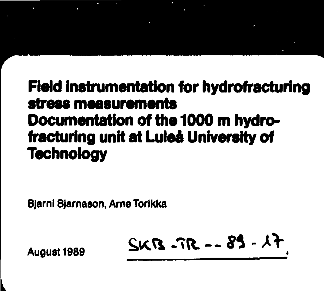## **Field instrumentation for hydrofracturing stress measurements Documentation of the 1000 m hydrofracturing unit at Luleå University of Technology**

**Bjarnl Bjarnason, ArneTorikka**

**-^O. —** *81-*

**August 1989**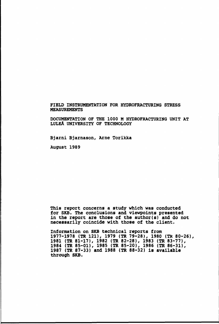#### **FIELD INSTRUMENTATION FOR HYDROFRACTURING STRESS MEASUREMENTS**

**DOCUMENTATION OF THE 1000 M HYDROFRACTURING UNIT AT LULEA UNIVERSITY OF TECHNOLOGY**

**Bjarni Bjamason, Arne Torikka**

**August 1989**

**This report concerns a study which was conducted for SKB. The conclusions and viewpoints presented in the report are those of the author(s) and do not necessarily coincide with those of the client.**

**Information on SKB technical reports from 1977-1978 (TR 121), 1979 (TR 79-28), 1980 (TR 80-26), 1981 (TR 81-17), 1982 (TR 82-28), 1983 (TR 83-77), 1984 (TR 85-01), 1985 (TR 85-20), 1986 (TR 86-31), 1987 (TR 87-33) and 1988 (TR 88-32) is available through SKB.**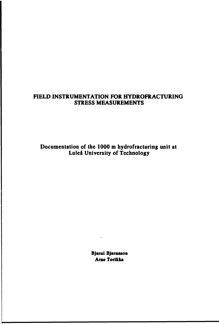## **FIELD INSTRUMENTATION FOR HYDROFRACTURING STRESS MEASUREMENTS**

**Documentation of the 1000 m hydrofracturing unit at Luleå University of Technology**

> **Bjanii Bjarnason Arne Torikka**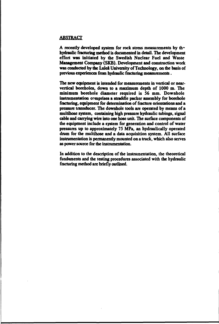#### **ABSTRACT**

A recently developed system for rock stress measurements by th<sup>®</sup> **hydraulic fracturing method is documented in detail. The development effort was initiated by the Swedish Nuclear Fuel and Waste Management Company (SKB). Development and construction work was conducted by die Luleå University of Technology, on the basis of previous experiences from hydraulic fracturing measurements.**

**The new equipment is intended for measurements in vertical or nearvertical boreholes, down to a maximum depth of 1000 m. The minimum borehole diameter required is 56 mm. Downhole instrumentation comprises a straddle packer assembly for borehole fracturing, equipment for determination of fracture orientations and a pressure transducer. The downhole tools are operated by means of a multihose system, containing high pressure hydraulic tubings, signal cable and carrying wire into one hose unit. The surface components of the equipment include a system for generation and control of water pressures up to approximately 75 MPa, an hydraulically operated drum for the multihose and a data acquisition system. All surface instrumentation is permanently mounted on a truck, which also serves as power source for the instrumentation.**

**In addition to the description of the instrumentation, the theoretical fundaments and the testing procedures associated with the hydraulic fracturing method are briefly outlined.**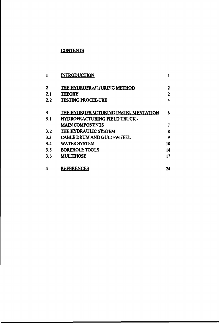## **CONTENTS**

|     | <b>INTRODUCTION</b>                  |    |
|-----|--------------------------------------|----|
| 2   | <b>THE HYDROFRACTURING METHOD</b>    | 2  |
| 2.1 | <b>THEORY</b>                        | 2  |
| 2.2 | <b>TESTING PROCEDURE</b>             | 4  |
| 3   | THE HYDROFRACTURING INSTRUMENTATION  | 6  |
| 3.1 | <b>HYDROFRACTURING FIELD TRUCK -</b> |    |
|     | <b>MAIN COMPONENTS</b>               | 7  |
| 3.2 | <b>THE HYDRAULIC SYSTEM</b>          | 8  |
| 3.3 | <b>CABLE DRUM AND GUIDYWITELL</b>    | 9  |
| 3.4 | <b>WATER SYSTEM</b>                  | 10 |
| 3.5 | <b>BOREHOLE TOOLS</b>                | 14 |
| 3.6 | <b>MULTIHOSE</b>                     | 17 |
| 4   | REFERENCES                           | 24 |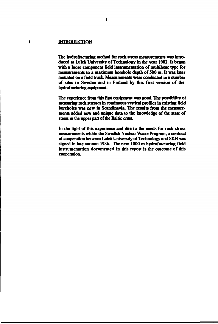#### **INTRODUCTION**

 $\mathbf{I}$ 

**The hydrofracturing method for rock stress measurements was introduced at Luleå University of Technology in the year 1982. It began** with a loose component field instrumentation of multihose type for **measurements to a maximum borehole depth of 500 m. It was later mounted on a field truck. Measurements were conducted in a number of sites in Sweden and in Finland by this first version of the hydrofracturing equipment**

**The experience from this first equipment was good. The possibility of measuring rock stresses in continuous vertical profiles in existing field boreholes was new in Scandinavia. The results from the measurements added new and unique data to the knowledge of the state of stress in the upper part of the Baltic crust.**

**In the light of this experience and due to the needs for rock stress measurements within the Swedish Nuclear Waste Program, a contract of cooperation between Luleå University of Technology and SKB was signed in late autumn 1986. The new 1000 m hydrofracturing field instrumentation documented in this report is the outcome of this cooperation.**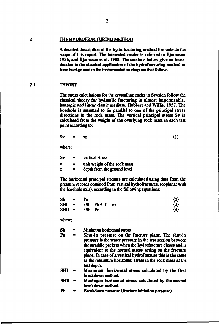#### $\overline{\mathbf{z}}$ **THE HYDROFRACTURING METHOD**

**A detailed description of the hydrofracturing method lies outside the scope of this report. The interested reader is referred to Bjamason 1986, and Bjamason et al. 1988. The sections below give an introduction to the classical application of the hydrofracturing method to** form background to the instrumentation chapters that follow.

#### **2.1 THEORY**

**The stress calculations for the crystalline rocks in Sweden follow the classical theory for hydraulic fracturing in almost impermeable, isotropic and linear elastic medium, Hubbert and Willis, 1957. The borehole is assumed to lie parallel to one of the principal stress directions in the rock mass. The vertical principal stress Sv is calculated from the weight of the overlying rock mass in each test point according to:**

$$
Sv = yz \tag{1}
$$

**where;**

| Sv |                | vertical stress              |
|----|----------------|------------------------------|
| γ  | $\blacksquare$ | unit weight of the rock mass |
| z  | $\blacksquare$ | depth from the ground level  |

**The horizontal principal stresses are calculated using data from the pressure records obtained from vertical hydrofractures, (coplanar with the borehole axis), according to the following equations:**

| <b>Sh</b> | $\mathbf{r}$ | Ps                   |           | (2) |
|-----------|--------------|----------------------|-----------|-----|
|           |              | $SHI = 3Sh - Pb + T$ | <b>or</b> | (3) |
| $SHII =$  |              | 3Sh - Pr             |           | (4) |

**where;**

**Sh - Minimum horizontal stress** Shut-in pressure on the fracture plane. The shut-in **pressure is the water pressure hi the test section between the straddle packers when the hydrofracture closes and is equivalent to the normal stress acting on the fracture plane. In case of a vertical hydrofracture this is the same as the minimum horizontal stress in the rock mass at the test depth. SHI - Maximum horizontal stress calculated by the first breakdown method.**

**SHII - Maximum horizontal stress calculated by the second breakdown method.**

**Pb - Breakdown pressure (fracture initiation pressure).**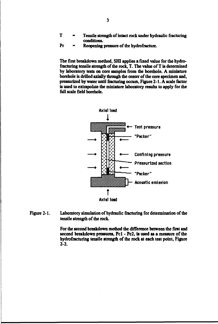- **T Tensile strength of intact rock under hydraulic fracturing conditions.**
- **Pr Reopening pressure of the hydrofracture.**

**The first breakdown method, SHI applies a fixed value for the hydrofracturing tensile strength of the rock, T. The value of T is determined by laboratory tests on core samples from the borehole. A miniature borehole is drilled axially through the center of the core specimen and, pressurized by water until fiacturing occuis, Figure 2-1. A scale factor is used to extrapolate the miniature laboratory results to apply for the full scale field borehole.**



**Figure 2-1. Laboratory simulation of hydraulic fracturing for determination of the tensile strength of the rock.**

> **For the second breakdown method the difference between the first and second breakdown pressures, Pel - Pc2, is used as a measure of the hydrofracturing tensile strength of die rock at each test point, Figure 2-2.**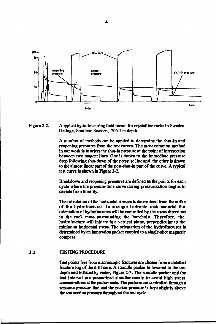

**Figure 2-2. A typical hydrofracturing field record for crystalline rocks in Sweden. Getinge, Southern Sweden, 205.1 m depth.**

> **A number of methods can be applied to determine the shut-in and reopening pressures from the test curves. The most common method in our work is to select the shut-in pressure at the point of intersection between two tangent lines. One is drawn to the immediate pressure drop following shut-down of the pressure line and, the other is drawn to the almost linear part of the post-shut-in part of the curve. A typical test curve is shown in Figure 2-2.**

> **Breakdown and reopening pressures are defined as the points for each cycle where the pressure-time curve during pressurization begins to deviate from linearity.**

> **The orientation of the horizontal stresses is determined from the strike of the hydrofractures. In strength isotropic rock material the orientation of hydrofractures will be controlled by the stress directions in the rock mass surrounding the borehole. Therefore, the hydrofracture will initiate in a vertical plane, perpendicular to the minimum horizontal stress. The orientation of the hydrofractures is determined by an impression packer coupled to a single-shot magnetic compass.**

#### **2.2 TESTING PROCEDURE**

**Test points free from macroscopic fractures are chosen from a detailed fracture log of the drill core. A straddle packer is lowered to the test depth and inflated by water, Figure 2-3. The straddle packer and the test interval are pressurized simultaneously to avoid high stress concentrations at the packer ends. The packers are controlled through a separate pressure line and the packer pressure is kept slightly above the test section pressure throughout the test cycle.**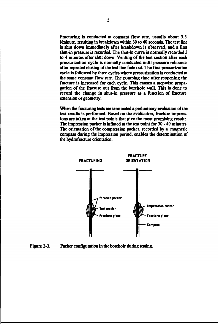**Fracturing is conducted at constant flow rate, usually about 3.5 1/minuie, resulting in breakdown within 30 to 40 seconds. The test line is shut down immediately after breakdown is observed, and a first shut-in pressure is recorded. The shut-in curve is normally recorded 3 to 4 minutes after shut down. Venting of the test section after each pressurization cycle is normally conducted until pressure rebounds after repeated closing of the test line fade out. The first pressurization cycle is followed by three cycles where pressurization is conducted at the same constant flow rate. The pumping time after reopening the fracture is increased for each cycle. This causes a stepwise propagation of the fracture out from the borehole wall. This is done to record the change in shut-in pressure as a function of fracture extension or geometry.**

**When the fracturing tests are terminated a preliminary evaluation of the test results is performed. Based on the evaluation, fracture impressions are taken at the test points that give the most promising results. The impression packer is inflated at the test point for 30 - 40 minutes. The orientation of the compression packer, recorded by a magnetic compass during the impression period, enables the determination of the hydrofracture orientation.**



**Figure 2-3. Packer configuration in the borehole during testing.**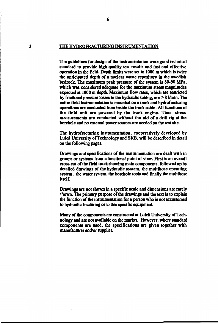#### **THE HYDROFRACTURING INSTRUMENTATION**

6

**The guidelines for design of the instrumentation were good technical standard to provide high quality test results and fast and effective operation in the field. Depth limits were set to 1000 m which is twice the anticipated depth of a nuclear waste repository in the Swedish bedrock. The maximum peak pressure of the system is 80-90 MPa, which was considered adequate for the maximum stress magnitudes expected at 1000 m depth. Maximum flow rates, which are restricted by frictional pressure losses in the hydraulic tubing, are 7-81/min. The entire field instrumentation is mounted on a truck and hydrofracturing operations are conducted from inside the truck cabin. All functions of the field unit are powered by the truck engine. Thus, stress measurements are conducted without the aid of a drill rig at the borehole and no external power sources are needed on the test site.**

**The hydrofracturing instrumentation, cooperatively developed by Luleå University of Technology and SKB, will be described in detail on the following pages.**

**Drawings and specifications of the instrumentation are dealt with in groups or systems from a functional point of view. First is an overall cross-cut of the field truck showing main components, followed up by detailed drawings of the hydraulic system, die multihose operating system, the water system, the borehole tools and finally the multihose itself.**

**Drawings are not shown in a specific scale and dimensions are rarely rhown. The primary purpose of die drawings and the text is to explain the function of the instrumentation for a person who is not accustomed to hydraulic fracturing or to this specific equipment.**

**Many of the components are constructed at Luleå University of Technology and are not available on the market. However, where standard components are used, the specifications are given together with** manufacturer and/or supplier.

 $\overline{\mathbf{3}}$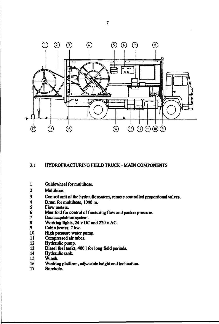

#### **3.1 HYDROFRACTURING FIELD TRUCK-MAIN COMPONENTS**

- **Guidewheel for multihose.**  $\mathbf{1}$
- $\overline{2}$ **Multihose.**
- **3 Control unit of the hydraulic system, remote controlled proportional valves**
- **4 Drum for multihose, 1000 m.**
- **5 Flow meters.**
- **6 Manifold for control of fracturing flow and packer pressure.**
- **7 Data acquisition system.**
- **8 Working lights, 24 v DC and 220 v AC.**
- **9 Cabin heater, 7 kw.**
- **10 High pressure water pump.**
- **11 Compressed air tubes.**
- **12 Hydraulic pump.**
- **13 Diesel fuel tanks, 4001 for long field periods.**
- **14 Hydraulic tank.**
- **15 Winch.**
- **16 Working platform, adjustable height and inclination.**
- **17 Borehole.**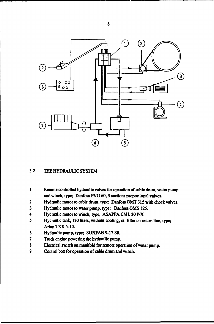

## **3.2 THE HYDRAULIC SYSTEM**

- **1 Remote controlled hydraulic valves for operation of cable drum, water pump and winch, type; Danfoss PVG 60,3 sections proportional valves.**
- **2 Hydraulic motor to cable drum, type; Danfoss OMT 315 with chock valves.**
- **3 Hydraulic motor to water pump, type; DanfossOMS 125.**
- **4 Hydraulic motor to winch, type; ASAPPA CML 20 P/X**
- **5 Hydraulic tank, 120 liters, without cooling, oil filter on return line, type; ArlonTXX5-10.**
- **6 Hydraulic pump, type; SUNFAB 9-17 SR**
- **7 Truck engine powering the hydraulic pump.**
- **8 Electrical switch on manifold for remote operation of water pump,**
- **9 Control box for operation of cable drum and winch.**

 $\overline{\mathbf{g}}$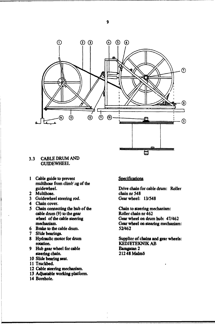

#### **3.3 CABLE DRUM AND GUIDEWHEEL**

- **1 Cable guide to prevent multfliose from climb'ng of the guidewheel.**
- **2 Multihosc.**
- **3 Guidewheel steering rod.**
- **4 Chain cover.**
- **5 Chain connecting the hub of the cable drum (9) to the gear wheel of the cable steering mechanism**
- **6 Brake to the cable drum.**
- **7 Slide bearings.**
- **8 Hydraulic motor for drum rotation.**
- **9 Hub gear wheel for cable steering chain.**
- **10 Slide bearing seat.**
- **11 Truckbed.**
- **12 Cable steering mechanism.**
- **13 Adjustable working platform.**
- **14 Borehole.**

#### **Specifications**

**Drive chain for cable drum: Rollci chain nr 548 Gearwheel: 13/548**

**Chain to steering mechanism: Roller chain nr 462 Gear wheel on drum hub: 47/462 Gear wheel on stearing mechanism 52/462**

**Supplier of chains and gear wheels KEDJETEKNIK AB Baragatan 2 212 48 Malmö**

9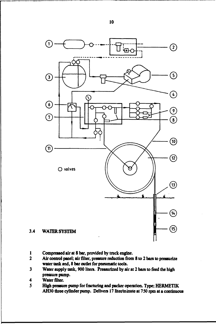

- **1 Compressed air at 8 bar, provided by truck engine.**
- **2 Air control panel; air filter, pressure reduction from 8 to 2 bars to pressurize water tank and, 8 bar outlet for pneumatic tools.**
- **3 Water supply tank, 900 liters. Pressurized by air at 2 ban to feed the high pressure pump.**
- **4 Water filter.**
- **5 High pressure pump for fracturing and packer operation. Type; HERMETIK** AH30 three cylinder pump. Delivers 17 liter/minute at 750 rpm at a continuous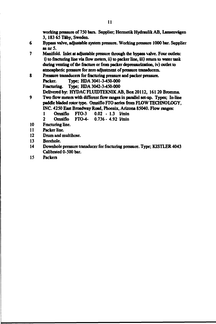**working pressure of 750 bars. Supplier; Hennetik Hydraulik AB, Lansenvägen 3,183 65 Täby, Sweden.**

- **6 Bypass valve, adjustable system pressure. Working pressure 1000 bar. Supplier asnr5.**
- **7 Manifold. Inlet at adjustable pressure through the bypass valve. Four outlets: i) to fracturing line via flow meters, ii) to packer line, iii) return to water tank during venting of the fracture or from packer depressurization, iv) outlet to atmospheric pressure for zero adjustment of pressure transducers.**
- **8 Pressure transducers for fracturing pressure and packer pressure. Packer. Type; HDA 3041-3-450-000 Fracturing. Type; HDA 3042-3-450-000 Delivered by. HYDAC FLUIDTEKN1K AB, Box 20112, 16120 Bromma.**
- **9 Two flow meters with different flow ranges in parallel set-up. Types; In-line paddle bladed rotor type. Omniflo FTO series from FLOW TECHNOLOGY, INC. 4250 East Broadway Road, Phoenix, Arizona 85040. Flow ranges:**
	- **1 Omniflo FTO-3 0.02 1.3 1/min**
	- **2 Omniflo FTO-4- 0.736-4.92 1/min**
- **10 Fracturing line.**
- **11 Packer line.**
- **12 Drum and multihose.**
- **13 Borehole.**
- **14 Downhole pressure transducer for fracturing pressure. Type; KISTLER 4043 Calibrated 0-500 bar.**
- **15 Packers**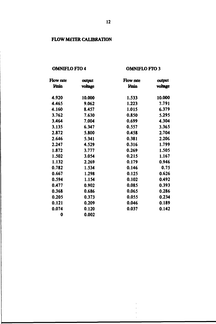## **FLOW METER CALIBRATION**

## **OMNIFLOFTO4**

## **OMNIFLOFTO3**

| Flow rate<br><b>Vmin</b> | output<br>voltage | Flow rate<br><b>Vmin</b> | output<br>voltage |  |
|--------------------------|-------------------|--------------------------|-------------------|--|
| 4.920                    | 10.000            | 1.533                    | 10.000            |  |
| 4.465                    | 9.062             | 1.223                    | 7.791             |  |
| 4.160                    | 8.457             | 1.015                    | 6.379             |  |
| 3.762                    | 7.630             | 0.850                    | 5.295             |  |
| 3.464                    | 7.004             | 0.699                    | 4.304             |  |
| 3.135                    | 6.347             | 0.557                    | 3.365             |  |
| 2.872                    | 5.800             | 0.458                    | 2.704             |  |
| 2.646                    | 5.341             | 0.381                    | 2.206             |  |
| 2.247                    | 4.529             | 0.316                    | 1.799             |  |
| 1.872                    | 3.777             | 0.269                    | 1.505             |  |
| 1.502                    | 3.054             | 0.215                    | 1.167             |  |
| 1.132                    | 2.269             | 0.179                    | 0.946             |  |
| 0.782                    | 1.534             | 0.146                    | 0.75              |  |
| 0.667                    | 1.298             | 0.125                    | 0.626             |  |
| 0.594                    | 1.154             | 0.102                    | 0.492             |  |
| 0.477                    | 0.902             | 0.085                    | 0.393             |  |
| 0.368                    | 0.686             | 0.065                    | 0.286             |  |
| 0.205                    | 0.373             | 0.055                    | 0.234             |  |
| 0.121                    | 0.209             | 0.046                    | 0.189             |  |
| 0.074                    | 0.120             | 0.037                    | 0.142             |  |
| 0                        | 0.002             |                          |                   |  |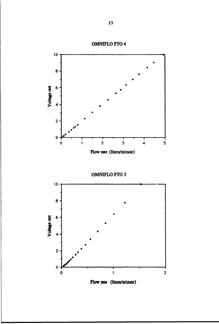

**OMNIFLOFTO3**

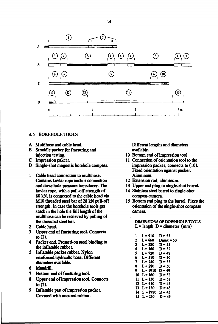

#### **3.5 BOREHOLE TOOLS**

- **A Multihose and cable head.**
- **B Straddle packer for fracturing and injection testing.**
- **C Impression pakcer.**
- **D Single-shot magnetic borehole compass.**
- **1 Cable head connection to multihose. Contains kevlar rope anchor connection and downhole pressure transducer. The kevlar rope, with a pull-off strength of 60 kN, is connected to the cable head via M10 threaded steel bar of 28 kN pull-off strength. In case the borehole tools get stuck in the hole the full length of the multihose can be retrieved by pulling of the threaded steel bar.**
- **2 Cable head.**
- **3 Upper end of fracturing tool. Connects to (2).**
- **4 Packer end. Pressed-on steel binding to the inflatable rubber.**
- **5 Inflatable packer rubber. Nylon reinforced hydraulic hose. Different diameters available.**
- **6 Mandrill.**
- **7 Bottom end of fracturing tool.**
- **8 Upper end of impression tool. Connects to (2).**
- **9 Inflatable part of impression packer. Covered with uncured rubber.**

**Different lengths and diameters available.**

- **10 Bottom end of impression tool.**
- **11 Connection of orientation tool to the impression packer, connects to (10). Fixed orientation against packer. Aluminum.**
- **12 Extension rod, aluminum.**
- **13 Upper end plug to single-shot barrel.**
- **14 Stainless steel barrel to single-shot compass camera.**
- **15 Bottom end plug to the barrel. Fixes the orientation of the single-shot compass camera.**

**DIMENSIONS OF DOWNHOLE TOOLS L-length D - diameter (mm)**

| 1  | L = 910   | D = 53           |
|----|-----------|------------------|
| 2  | L = 660   | <b>Dmax = 53</b> |
| 3  | $L = 280$ | $D = 53$         |
| 4  | L = 160   | D = 52           |
| S  | L = 920   | D = 48           |
| 6  | L = 310   | D = 50           |
| 7  | L = 240   | D = 53           |
| 8  | L = 280   | D = 50           |
| 9  | L = 1910  | D = 49           |
| 10 | L = 160   | $D = 53$         |
| 11 | L = 150   | D = 53           |
| 12 | L = 610   | D = 45           |
| 13 | L = 130   | D = 45           |
| 14 | L = 1980  | D = 45           |
| 15 | L = 250   | D = 45           |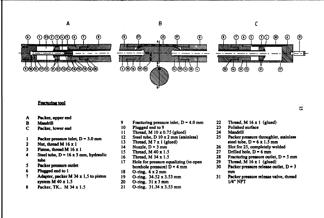

#### **Fracturing tool**

- **A Packer, upper end**
- **B Mandrill**
- **C Packer, lower end**
- **1 Packer pressure inlet, D 3.0 mm**
- **2 Nut, thread M 16x1**
- **3 Piston, thread M 16x1**
- $4$  Steel tube,  $D = 16 \times 3$  mm, hydraulic **tube**
- **5 Packer pressure outlet**
- **6 Plugged end to 1**
- **7 Adapter, packer M 34 x 1,5 to piston system M 40 x 1.5**
- 8 **Packer,** TK.. **M** 34x1. 5
- 9 **Fracturing pressure inlet,**  $D = 4.0$  **mm**
- 10 **Plugged end to** 9
- 11 **Thread,** M 10x0.75 **(glued)**
- 12 **Steel tube, D** 10 x 2 mm (stainless)
- 13 **Thread, M 7 x 1 (glued)**
- 14 Nozzle,  $D = 3$  mm
- **15 Thread, M 40x1.5**
- 16 **Thread,** M 34x1.5
- 17 Hole for pressure equalizing **(to open borehole pressure)**  $D = 4$  mm
- 18 **O-ring, 6x2m m**
- 19 **O-ring, 34.52x3.53 mm**
- **20 O-ring, 31 x3mm**
- **21** O-ring, 31.34x3.53 mm
- 22 **Thread, M** 16 **x 1 (glued)**
- 23 **Polished surface**
- 24 **Mandrill**
- 25 **Packer pressure throughlet, stainless** steel tube,  $D = 6 \times 1.5$  mm

 $\overline{a}$ 

- **26 Slot for 25, completely welded**
- **27** Drilled hole,  $D = 6$  mm
- **28** Fracturing pressure outlet, D = 5 mm
- 29 **Thread, M 16 x 1 (glued)**
- 30 Packer pressure release outlet,  $D = 3$ mm
- 31 **Packer pressure release valve, thread 1/4" NPT**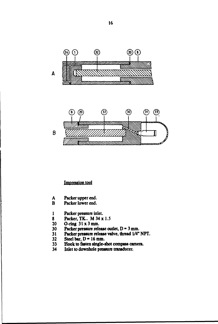

**Impression tool**

- **A Packer upper end.**
- Packer lower end.
- **1 Packer pressure inlet.**
- **8** Packer, TK.. M 34 x 1.5<br>20 O-ring 31 x 3 mm.
- **20 O-ring 31x 3 mm.**
- 30 Packer pressure release outlet, D = 3 mm.<br>31 Packer pressure release valve, thread 1/4"
- **31 Packer pressure release valve, thread 1/4" NPT.**
- $32$  Steel bar,  $D = 16$  mm.<br> $33$  Hook to fasten single-
- **33 Hook to fasten single-shot compass camera.**
- **34 Inlet to downhole pressure transducer.**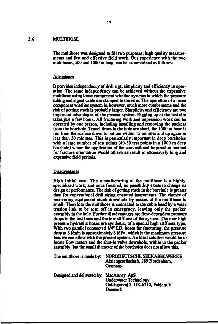#### **3.6 MULTIHOSE**

**The multihose was designed to fill two purposes; high quality measurements and fast and effective field work. Our experience with the two multihoses, 500 and 1000 m long, can be summarized as follows:**

#### **Advantages**

It provides independency of drill rigs, simplicity and efficiency in oper**ation. The same independency can be achieved without the expensive multihose using loose component wireline systems in which the pressure tubing and signal cable are clamped to the wire. The operation of a loose component wireline system is, however, much more cumbersome and the risk of getting stuck is probably larger. Simplicity and efficiency are two important advantages of the present system. Rigging up at the test site takes just a few hours. All fracturing work and impression work can be operated by one person, including installing and removing the packers from the borehole. Travel times in the hole are short, the 1000 m hose is run from the surface down to bottom within IS minutes and up again in less than 30 minutes. This is particularly important in deep boreholes with a large number of test points (40-50 test points in a 1000 m deep borehole) where the application of the conventional impression method for fracture orientation would otherwise result in excessively long and expensive field periods.**

#### **Disadvantages**

**High initial cost. The manufacturing of the multihose is a highly specialized work, and once finished, no possibility exists to change its design or performance. The risk of getting stuck in die borehole is greater than for conventional drill string operated instruments. The chance of recovering equipment stuck downhole by means of the multihose is small. Therefore the multihose is connected to the cable head by a weak tension link to be torn off in emergency, leaving only the packer assembly in the hole. Further disadvantages are flow-dependent pressure drops in the test lines and the low stiffness of the system. The new high pressure hydraulic hoses are synthetic, of a special high stiffness type. With two parallel connected 1/4" I.D. hoses for fracturing, the pressure drop at 81/min is approximately 8 MPa, which is the maximum pressure loss we can allow with the present system. An ideal solution would be to locate flow meters and die shut-in valve downhole, within to the packer assembly, but the small diameter of the boreholes does not allow this.**

| The multihose is made by:                | NORDDEUTSCHE SEEKABELWERKE<br>Aktiengesellschaft, 289 Nordenham,<br>Germany         |  |  |
|------------------------------------------|-------------------------------------------------------------------------------------|--|--|
| Designed and delivered by: MacArtney ApS | <b>Underwater Technology</b><br>Guldagervej 2, DK-6710, Esbjerg V<br><b>Denmark</b> |  |  |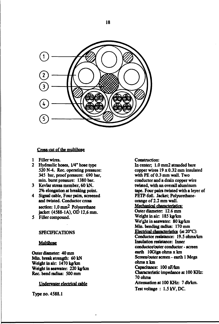

#### **Cross-cut of the multihose**

- **1 Filler wires.**
- **2 Hydraulic hoses, 1/4" hose type 520 N-4. Rec. operating pressure: 345 bar, proof pressure: 690 bar, min. burst pressure: 1380 bar.**
- **3 Kevlar stress member, 60 kN. 2% elongation at breaking point.**
- **4 Signal cable, Four pairs, screened and twisted. Conductor cross section: 1,0 mm2 Polyurethane jacket (4588-1 A), OD 12,6 mm.**
- **5 Filler compound.**

#### **SPECIFICATIONS**

#### **Multihose**

**Outer diameter 40 mm Min. break strength: 60 kN** Weight in air: 1470 kg/km **Weight in seawaten 220 kg/km Rec. bend radius: 500 mm**

**Underwater electrical cable**

**Type no. 4588.1**

#### **Construction:**

**In center; 1.0 mm2 stranded bare copper wires 19 x 0.32 mm insulated with PE of 0.3 mm wall. Two conductor and a drain copper wire twisted, with an overall aluminum tape. Four pairs twisted with a leyer of PETP-foil. Jacket; Polyurethaneorange of 2.2 mm wall. Mechanical characteristics: Outer diameter 12.6 mm Weight in ain 185 kg/km Weight in seawater. 80 kg/km Min. bending radius: 170 mm Electrical characteristics (at20°C): Conductor resistance: 19.5 ohms/km Insulation resistance: Inner conductocfouter conductor - screen earth lOGiga ohms x km Screen/outer screen - earth 1 Mega ohms x km Capacitance: lOOnF/km Characteristic impedance at 100 KHz: 70 ohms Attenuation at 100 KHz: 7db/km. Test voltage : 1.5kV,DC.**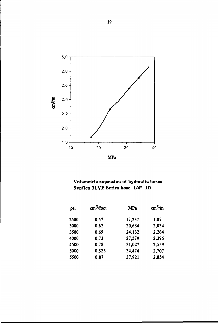

## **Volumetric expansion of hydraulic hoses Synflex 3LVE Series hose 1/4" ID**

| psi  | cm <sup>3</sup> /foot | <b>MPa</b> | $\text{cm}^3/\text{m}$ |  |
|------|-----------------------|------------|------------------------|--|
| 2500 | 0,57                  | 17,237     | 1,87                   |  |
| 3000 | 0,62                  | 20,684     | 2,034                  |  |
| 3500 | 0.69                  | 24,132     | 2,264                  |  |
| 4000 | 0.73                  | 27,579     | 2,395                  |  |
| 4500 | 0,78                  | 31,027     | 2,559                  |  |
| 5000 | 0,825                 | 34,474     | 2,707                  |  |
| 5500 | 0,87                  | 37,921     | 2,854                  |  |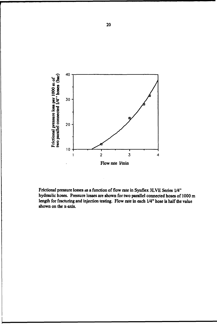

**Frictional pressure losses as a function of flow rate in Synflex 3LVE Series 1/4" hydraulic hoses. Pressure losses are shown for two parallel connected hoses of 1000 m length for fracturing and injection testing. Flow rate in each 1/4" hose is half the value shown on the x-axis.**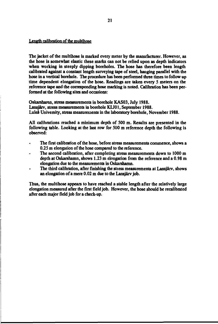#### **Length calibration of the multihose**

**The jacket of the multihose is marked every meter by the manufacturer. However, as the hose is somewhat elastic these marks can not be relied upon as depth indicators when working in steeply dipping boreholes. The hose has therefore been length calibrated against a constant length surveying tape of steel, hanging parallel with the hose in a vertical borehole. The procedure has been performed three times to follow up time dependent elongation of the hose. Readings are taken every 5 meters on the reference tape and the corresponding hose marking is noted. Calibration has been performed at the following sites and occasions:**

**Oskarshamn, stress measurements in borehole KAS03, July 1988. Lansjärv, stress measurements in borehole KLJ01, September 1988. Luleå University, stress measurements in the laboratory borehole, November 1988.**

**All calibrations reached a minimum depth of 500 m. Results are presented in the following table. Looking at the last row for 500 m reference depth the following is observed:**

- **The first calibration of the hose, before stress measurements commence, shows a 0.25 m elongation of the hose compared to the reference.**
- **The second calibration, after completing stress measurements down to 1000 m depth at Oskarshamn, shows 1.23 m elongation from the reference and a 0.98 m elongation due to the measurements in Oskarshamn.**
- **The third calibration, after finishing the stiess measurements at Lansjärv, shows an elongation of a mere 0.02 m due to the Lansjärv job.**

**Thus, the multihose appears to have reached a stable length after the relatively large elongation measured after the first field job. However, the hose should be recalibrated after each major field job for a check-up.**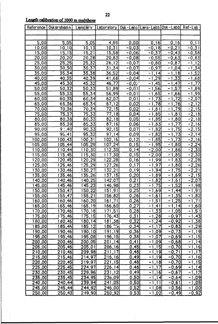$\frac{1}{4}$ 

| Reference           | Oskarshamnj        | <u>Lansjärv</u>     | <u> Laboratory Osk-Lans Lans-Labb Osk-Labb  Ref-Lab</u> |                     |                                            |                          |                                    |
|---------------------|--------------------|---------------------|---------------------------------------------------------|---------------------|--------------------------------------------|--------------------------|------------------------------------|
|                     |                    |                     |                                                         |                     |                                            |                          |                                    |
|                     |                    |                     |                                                         |                     |                                            |                          |                                    |
| 5,00                | <u>5,05</u>        | 5,05                | 4,89                                                    | 0,00                | 0, 16                                      | [0, 16]                  | 0,11                               |
| 10,00               | 10,10              | 10, 13              | 10,31                                                   | $-0,03$             | $-0,18$                                    | $-0,21$                  | $-0,31$                            |
| 15,00               | 15,15              | 15,21               | 15,58                                                   | $-0,06$             | $-0,37$                                    | $-0,43$                  | $-0,58$                            |
| 20,00               | $\overline{20,20}$ | 20,28               | 20,83                                                   | $-0,08$             | $-0,55$                                    | $-0,63$                  | $-0,83$                            |
| 25,00               | 25,25              | 25,32               | 26, 12                                                  | $-0,07$             | $-0,80$                                    | $-0,87$                  | $-1, 12$                           |
| 30,00               | 30,30              | 30,37               | 31,34                                                   | $-0,07$             | $-0,97$                                    | , 04<br>$-1$             | , 34<br>$-1$                       |
| <u>35,00 </u>       | 35,34              | 35,38               | 36,52                                                   | $-0,04$             | $-1$<br>$\overline{11}$                    | <u>-1,18 </u>            | $-1,52$                            |
| 40,00               | 40,35              | 40,39               | 41,68                                                   | $-0,04$             | , 29<br>$-1$                               | $-1,33$                  | $\overline{68}$<br>$-1$            |
| 45,00               | 45,30              | 45,32               | 46,77                                                   | $-0,0.7$            | $\overline{.45}$<br>$-1$                   | $-1$<br>,47              | $,\overline{77}$<br>$-1$           |
| 50,00               | 50,32              | 50,33               | 51,89                                                   | $-0,01$             | $\overline{-1}$<br>, 56                    | ,57<br>$-1$              | $\overline{-1}$<br>$\overline{89}$ |
| 55,00               | 55,33              | 55,34               | 56,99                                                   | $-0, 01$            | ,65<br>$-1$                                | ,66<br>$-1$              | ,99<br>$-1$                        |
| 60,00               | 60,35              | 60,34               | 62,07                                                   | 0,01                | $-1$<br>,73                                | $\overline{72}$<br>- 1   | $-2,07$                            |
| 65,00               | 65,36              | 65,34               | 67,12                                                   | 0,02                | ,78<br>$-1$                                | ,76<br>$-1$              | $-2,12$                            |
| 70,00               | 70,36              | 70,34               | 72,15                                                   | 0,02                | $\overline{,81}$<br>$-1$                   | ,79<br>$-1$              | $-2,15$                            |
| <u>75,00</u>        | 75,37              | 75,33               | $\overline{77,18}$                                      | <u>0,04 </u>        | ,85<br>$-1$                                | $\overline{.81}$<br>$-1$ | $-2,18$                            |
| 80,00               | 80,38              | 80,33               | 82,18                                                   | <u>0,05 </u>        | ,85<br>- 1                                 | ,80<br>$-1$              | $-2$<br> 8                         |
| <u>85,00</u>        | 85,39              | 85,33               | 87,16                                                   | 0,06                | ,83<br>$-1$                                | ,77<br>$-1$              | $-2,16$                            |
| 90,00               | $9^\circ, 40$      | 90,33               | 92, 15                                                  | [0, 07]             | ,82<br>$-1$                                | ,75<br>$-1$              | $-2,15$                            |
| 95,00               | 95,41              | 95,32               | 97,14                                                   | 0,09                | ,82<br>$-1$                                | , 73<br>$-1$             | $-2,14$                            |
| 100,00              | 100,43             | 100, 31             | 102, 16                                                 | 0,12                | $\overline{.85}$<br>- 1                    | , 73<br>$-1$             | $-2,16$                            |
| [105, 00]           | 105,44             | 105,29              | 107,24                                                  | 0, 15               | $-1,95$                                    | $-1$<br>,80              | $-2,24$                            |
| 110,00              | 110,44             | 110,30              | 112,30                                                  | $\overline{0,14}$   | $-2,00$                                    | $-1,86$                  | $-2,30$                            |
| 115,00              | 115,45             | 115,30              | 117,30                                                  | 0, 15               | $-2,00$                                    | $-1,85$                  | $-2,30$                            |
| $\overline{120,00}$ | $\overline{20,45}$ | 120,29              | 122,28                                                  | 0, 16               | $-1,99$                                    | , 83<br>$-1$             | $-2,28$                            |
| 125,00              | 25,46              | $\overline{125,29}$ | $\overline{,26}$<br>$\overline{27}$                     | , 17<br>$\mathbf 0$ | <u>,97</u><br>$-1$                         | ,80<br>- 1               | $-2,26$                            |
| 130,00              | 130,46             | 130,27              | 132,21                                                  | 0, 19               | $-1,94$                                    | ,75<br>$-1$              | $-2,21$                            |
| <u>135,00</u>       | <u>135,46</u>      | 135,26              | 137,15                                                  | 0,20                | $-1,89$                                    | <u>,69</u><br>- 1        | $-2,15$                            |
| 140,00              | 40,46              | <u>40,25</u>        | 142,07                                                  | 0,21                | $-1,82$                                    | $-1,61$                  | $-2,07$                            |
| 145,00              | 45,46              | 145,23              | 146,98                                                  | 0,23                | $\overline{.75}$<br>- 1                    | $-1,52$                  | $-1,98$                            |
| <u>150,00</u>       | 150,47             | 150,22              | 151,91                                                  | 0,25                | $-1$<br><u>,69</u>                         | ,44<br>- 1               | $-1,91$                            |
| 155,00              | 155,47             | 55,21               | 56,82                                                   | 0,26                | , 61<br>- 1                                | , 35<br>$-1$             | , 82<br>$-1$                       |
| 160,00              | 160, 46            | 60,20               | $\overline{.71}$<br>161                                 | 0,26                | <u>,51</u>                                 | ,25                      | $\overline{21}$<br>$-1$            |
| 165,00              | 165, 46            | $\overline{165,19}$ | <u>166,60 </u>                                          | 0,27                | $\overline{41}$<br>$\overline{\mathbf{1}}$ | $-1, 14$                 | $-1,60$                            |
| <u>170,00</u>       | <u>70,46</u>       | 170,18              | <u>171,51  </u>                                         | <u>0,28  </u>       | $-1,33$                                    | $-1,05$                  | $-1,51$                            |
| <u>175,00</u>       | <u>175,46 </u>     | 175, 15             | 176,43                                                  | 0,31                | <u>-1,28  </u>                             | $-0,97$                  | $-1,43$                            |
| <u>180,00</u>       | 80, 46             | <u>180,14</u>       | 181,38                                                  | 0,32                | $-1,24$                                    | <u>-0,92 </u>            | $-1,38$                            |
| 185,00              | 185,46             | 185, 12             | 186, 231                                                | <u>0,341</u>        | $-1, 17$                                   | <u>-0,83 </u>            | $-1,29$                            |
| <u>190,00 </u>      | <u>190,46</u>      | <u>190,10 </u>      | <u> 191,19 </u>                                         | <u>0,361</u>        | $-1,09$                                    | <u>-0.73 </u>            | $-1,19$                            |
| <u>195,00 </u>      | <u>195,46</u>      | <u>195,08 </u>      | <u>196,15 </u>                                          | <u>0,38 </u>        | $-1,07$                                    | <u>-0,69 </u>            | $-1,15$                            |
| <u> 200,00</u>      | 200,46             | <u> 200,05 </u>     | <u>201,14</u>                                           | <u>0,41  </u>       | $-1,09$                                    | $-0,68$                  | $-1,14$                            |
| <u>205,00</u>       | 205,46             | <u>205,01</u>       | 206,16                                                  | <u>0,45 </u>        | $-1,15$                                    | $-0,70$                  | $-1,16$                            |
| <u>210,00 </u>      | 210,46             | <u>209,98</u>       | 211,17                                                  | [0, 48]             | $-1,19$                                    | $-0,71$                  | $-1,17$                            |
| 215,00              | 215,46             | 214,97              | 216,16                                                  | <u>0,49 </u>        | $-1,19$                                    | $-0,70$                  | $-1,16$                            |
| <u> 220,00</u>      | 220,45             | 219,97              | 221,15                                                  | <u>0,48  </u>       | $-1,18$                                    | $-0,70$                  | $-1,15$                            |
| <u>225,00 </u>      | <u>225,45</u>      | <u>224,97 </u>      | <u>226,14</u>                                           | <u>0,48  </u>       | $-1,17$                                    | <u>-0,69]</u>            | $-1, 14$                           |
| <u>230,00 </u>      | <u>230,45</u>      | <u>229,96 </u>      | 231,12                                                  | <u>0,49 </u>        | $-1,16$                                    | $-0,67$                  | $-1$<br>12                         |
| <u>235,00]</u>      | 235,45             | 234,95              | 236,09                                                  | <u>0,50 </u>        | $-1, 14$                                   | <u>-0,64</u>             | <u> -1,09</u>                      |
| <u>[00,00</u> ]     | 240,44             | 239,94              | <u> 05, 241</u>                                         | <u>0,50 </u>        | $\overline{-1,11}$                         | $-0,61$                  | $-1,05$                            |
| <u> 245,00</u>      | 245,44             | 244,92              | 246,00                                                  | 0,52                | $-1,08$                                    | $-0,56$                  | $-1,00$                            |
| 250,00              | 250,43             | <u>249,90 </u>      | <u> 250,921</u>                                         | <u>0,531</u>        | $-1,02$                                    | <u>-0,49 </u>            | $-0,92$                            |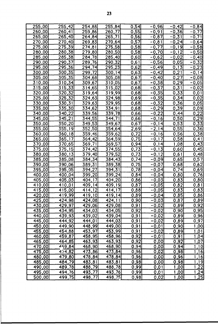| 255,00              | 255,42          | 254,88         | 255,84                | 0,54                | $-0,96$              | $-0,42$              | $-0,84$           |
|---------------------|-----------------|----------------|-----------------------|---------------------|----------------------|----------------------|-------------------|
| 260,00              | 260,41          | 259,86         | 260,77                | <u>0,55</u>         | $-0,91$              | $-0,36$              | $-0,77$           |
| 265,00              | 265,40          | 264,84         | 265, 71               | 0,56                | $-0,87$              | $-0,31$              | $-0, 71$          |
| $\overline{270,00}$ | 270,40          | 269,83         | 270,64                | 0,57                | $-0,81$              | $-0,24$              | $-0,64$           |
| 275,00              | 275,39          | 274,81         | 275,58                | 0,58                | $-0,77$              | $-0,19$              | $-0,58$           |
| 280,00              | 280,38          | 279,80         | 280,50                | 0,58                | $-0,70$              | $-0,12$              | $-0,50$           |
| 285,00              | 285,38          | 284,78         | 285,40                | 0,60                | $-0,62$              | $\frac{-0.02}{0.05}$ | $-0,40$           |
| 290,00              | 290,37          | 289,76         | 290,32                | 0,61]               | $-0,56$              |                      | $-0,32$           |
| 295,00              | 295,36          | 294,74         | 295,23                | $\overline{0,62}$   | $-0,49$              | 0,13                 | $-0,23$           |
| 300,00              | 300, 35         | 299,72         | 300, 14               | 0,63                | $-0,42$              | 0,21                 | $-0,14$           |
| 305,00              | 305,35          | 304,68         | 305,08                | 0,67                | $-0,40$              | 0,27                 | $-0,08$           |
| 310,00              | 310,34          | 309,67         | 310,05                | 0,67                | $-0,38$              | 0, 29                | $-0,05$           |
| 315,00              | 315,33          | 314,65         | 315,02                | 0,68                | $-0,37$              | 0,31                 | $-0,02$           |
| 320,00              | 320,32          | 319,64         | 319,99                | [0,68]              | $-0,35$              | 0,33                 | 0,01              |
| 325,00              | 325,32          | 324,63         | 324,98                | [0,69]              | $-0,35$              | 0, 34                | 0,02              |
| 330,00              | 330,31          | 329,63         | 329,95                | 0,68                | $-0,32$              | 0,36                 | 0,05              |
| 335,00              | 335,30          | 334,62         | 334,91                | 0,68                | $-0,29$              | 0, 39                | 0,09              |
| 340,00              | 340,22          | 339,56         | 339,78                | 0,66                | $-0,22$              | $\overline{0,44}$    | 0,22              |
| 345,00              | 345,21          | 344,55         | 344,71                | <u>0,66  </u>       | $-0,16$              | 0,50                 | 0, 29             |
| 350,00              | 350,20          | 349,53         | 349,67                | 0,67                | $-0,14$              | 0,53                 | 0, 33             |
| 355,00              | 355,19          | 352,50         | 354,64                | $\frac{2,69}{0,72}$ | $-2,14$              | 0,55                 | 0,36              |
| 360,00              | 360,18          | 359,46         | 359,62                |                     | $-0,16$              | 0,56                 | 0,38              |
| 365,00              | 365,17          | 364,42         | 364,59                | [0, 75]             | $-0,17$              | 0,58                 | 0,41              |
| 370,00              | 370,65          | 369,71         | 369,57                | 0,94                |                      | 1,08                 | 0,43              |
| 375,00              | 375,15          | 374,42         | 374,55                | 0,73                | $\frac{0,14}{-0,13}$ | 0,60                 | 0,45              |
| 380,00              | 380,13          | 379,40         | 379,52                | 0,73                | $-0,12$              | 0,61                 | $\overline{0,48}$ |
| 385,00              | 385,08          | 384,34         | 384,43                | 0, 74               | $-0,09$              | 0,65                 | 0,57              |
| 390,00              | 390,06          | 389,31         | 389,38                | 0,75                | $-0,07$              | 0,68                 | 0,62              |
| 395,00              | 395,05          | 394,27         | 394,31                | 0,78                | $-0,04$              | 0, 74                | 0,69              |
| $\overline{400,00}$ | 400,04          | 399,20         | 399,24                | 0,84                | $-0,04$              | 0,80                 | 0,76              |
| 405,00              | 405,03          | 404,17         | 404,20                | <u>0,86</u>         | $-0,03$              | 0,83                 | 0,80              |
| 410,00              | 410,01          | 409,14         | $\overline{409}$ , 19 | 0,87                | $-0,05$              | 0,82                 | 0, 81             |
| 415,00              | 415,00          | 414,12         | 414,17                | 0,88                | $-0,05$              | 0,83                 | 0,83              |
| 420,00              | 419,99          | 419,10         | $\overline{419,14}$   | 0,89                | $-0,04$              | 0,85                 | 0,86              |
| 425,00              | 424,98          | 424,08         | $\overline{424,11}$   | 0,90                | $-0,03$              | 0,87                 | 0,89              |
| 430,00              | 429,97          | 429,06         | 429,08                | 0,91                | $-0,02$              | 0,89                 | 0,92              |
| 435,00              | 434,95          | <u>434,03 </u> | <u>434,05]</u>        | <u>0,92 </u>        | -0,02                | 0,90                 | 0,95              |
| 440,00              | 439,93          | <u>439,021</u> | <u>439,04]</u>        | 0,91                | <u>-0,02 </u>        | <u>0,89 [</u>        | 0,96              |
| <u>445,00 </u>      | 444,92          | 444,01         | <u>444,03]</u>        | 0,91                | <u>-0,02 </u>        | <u>0,89 </u>         | 0,97              |
| <u>450,00 </u>      | <u>449,90  </u> | <u>448,99 </u> | <u>449,00]</u>        | 0,91                | <u>-0,01</u>         | [0, 90]              | <u>,00</u>        |
| 455,00              | <u>454,88  </u> | 453,97         | <u>453,99 </u>        | <u>0,91 </u>        | <u>-0,02 </u>        | 0,89                 | 1,01              |
| <u>460,00</u>       | 459,87          | 458,95         | 458,96                | 0,92                |                      | 0,91                 | 1,04              |
| 465,00              | 464,85          | <u>463,93 </u> | 463,93                | 0,92                | <u>0,00</u>          | 0,92                 | 1,07              |
| 470,00              | 459,84          | <u>468,90 </u> | <u>468,90</u>         | <u>0,94 </u>        | <u>0,00</u>          | 0,94                 | 1,10              |
| 475,00              | 474,82          | <u>473,86</u>  | 473,84                | 0,96                | 0,02                 | <u>0,98 </u>         | 1,16              |
| <u>480,00</u>       | <u>479,80 </u>  | <u>478,84 </u> | 478,84                | <u>0,96 </u>        | <u>0,00</u>          | 0,96                 | 1,16              |
| 485,00              | <u>484,79 </u>  | <u>483,81 </u> | 483,81                | 0,98                | 0,00                 | 0,98                 | , 19              |
| <u>490,00 </u>      | 489,78          | <u>488,79 </u> | 488,78                | <u>0,99 </u>        | 0,01                 | ا00,                 | ,22               |
| 495,00              | 494,76          | 493,77         | <u>493,76 </u>        | 0,99                | <u>0,01</u>          | <u>1,00</u>          | 1,24              |
| <u>500,00 </u>      | 499,75          | <u>498,77 </u> | <u>498,75]</u>        | 0,98                | <u>0,021</u>         | 1,00                 | 1,25              |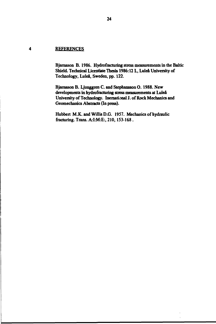#### $\overline{\mathbf{4}}$ **REFERENCES**

**Bjamason B. 1986. Hydrofracturing stress measurements in the Baltic Shield. Technical Licentiate Thesis 1986:12 L, Luleå University of Technology, Luleå, Sweden, pp. 122.**

**Bjamason B. Ljunggren C. and Stephansson O. 1988. New developments in hydrofracturing stress measurements at Luleå University of Technology. Inemational J. of Rock Mechanics and Geomechanics Abstracts (In press).**

**Hubbcrt M.K. and Willis D.G. 1957. Mechanics of hydraulic fracturing. Trans. A:I:M:E:, 210,153-168 .**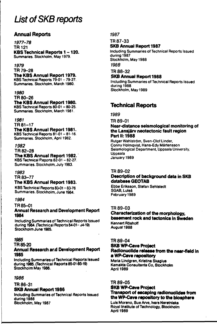# **List of SKB reports**

## **Annual Reports**

**1977-78 TR121 KBS Technical Reports 1-120. Summaries. Stockholm. May 1979.**

#### **1979**

**TR 79-28**

**The KBS Annual Report 1979. KBS Technical Reports 79-01 - 79-27. Summaries. Stockholm, March 1980.**

#### *1980*

**TR 80-26 The KBS Annual Report 1980. KBS Technical Reports 80-01 - 80-25. Summaries. Stockholm, March 1981.**

#### *1981*

**TR 81-17 The KBS Annual Report 1981.** KBS Technical Reports 81-01 - 81-16. **Summaries. Stockholm, April 1982.**

#### *1982*

**TR 82-28 The KBS Annual Report 1982. KBS Technical Reports 82-01 - 82-27. Summaries. Stockholm, July 1983.**

## **1983**

**TR 83-77**

#### **The KBS Annual Report 1983.**

**KBS Technical Reports 83-01 -83-76 Summaries. Stockholm, June 1984.**

#### *1984*

**TR 85-01**

#### **Annual Research and Development Report 1984**

**Including Summaries of Technical Reports Issued during 1984. (Technical Reports 84-01- d4-19) Stockholm June 1985.**

#### **7985**

#### **TR 85-20**

#### **Annual Research and Development Report 1985**

**Including Summaries of Technical Reports Issued during 1985. (Technical Reports 85-01-85-19) Stockholm May 1986.**

#### **1986**

#### **TR 86-31**

#### **8KB Annual Report 1986**

**Including Summaries of Technical Reports Issued during 1986 Stockholm, May 1987**

**7987**

#### **TR 87-33 SKB Annual Report 1987**

**Including Summaries of Technical Reports Issued during 1987 Stockholm, May 1988 1988**

**TR 88-32**

## **SKB Annual Report 1988**

**Including Summaries of Technical Reports issued during 1988 Stockholm, May 1989**

# **Technical Reports**

**7989**

**TR 89-01**

#### **Near-distance seismological monitoring of the Lansjärv neotectonic fault region Part II: 1988**

**Rutger Wahlström, Sven-Olof Linder, Conny Holmqvist, Hans-Edy Mårtensson Seismological Department, Uppsala University, Uppsala January 1989**

#### **TR 89-02**

## **Description of background data in SKB database GEOTAB**

**Ebbe Eriksson, Stefan Sehlstedt SGAB, Luleå February 1989**

#### **TR 89-03**

**Characterization of the morphology, basement rock and tectonics in Sweden Kennert Roshoff August 1988**

#### **TR 89-04**

#### **SKB WP-Cave Project Radionuclide release from the near-field in a WP-Cave repository**

**Maria Lindgren, Kristina Skagius Kemakta Consultants Co, Stockholm April 1989**

#### **TR 89-05**

#### **SKB WP-Cave Project Transport of escaping radionuclides from the WP-Cave repository to the biosphere**

**Luis Moreno, Sue Arve, Ivars Neretnieks Royal Institute of Technology, Stockholm April 1989**